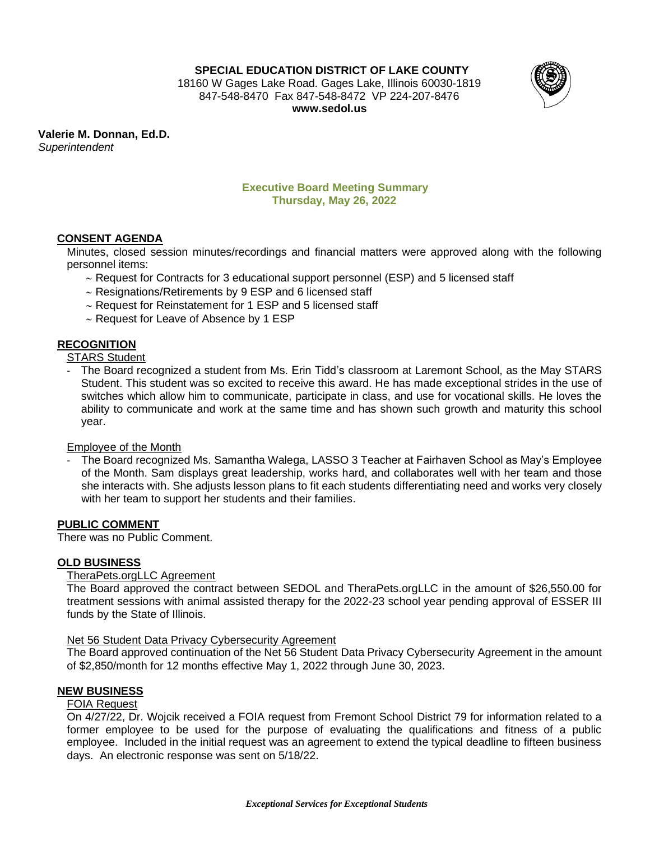**SPECIAL EDUCATION DISTRICT OF LAKE COUNTY**

18160 W Gages Lake Road. Gages Lake, Illinois 60030-1819 847-548-8470 Fax 847-548-8472 VP 224-207-8476 **www.sedol.us**



**Valerie M. Donnan, Ed.D.** *Superintendent*

## **Executive Board Meeting Summary Thursday, May 26, 2022**

# **CONSENT AGENDA**

Minutes, closed session minutes/recordings and financial matters were approved along with the following personnel items:

- ~ Request for Contracts for 3 educational support personnel (ESP) and 5 licensed staff
- $\sim$  Resignations/Retirements by 9 ESP and 6 licensed staff
- $\sim$  Request for Reinstatement for 1 ESP and 5 licensed staff
- $\sim$  Request for Leave of Absence by 1 ESP

# **RECOGNITION**

STARS Student

- The Board recognized a student from Ms. Erin Tidd's classroom at Laremont School, as the May STARS Student. This student was so excited to receive this award. He has made exceptional strides in the use of switches which allow him to communicate, participate in class, and use for vocational skills. He loves the ability to communicate and work at the same time and has shown such growth and maturity this school year.

## Employee of the Month

- The Board recognized Ms. Samantha Walega, LASSO 3 Teacher at Fairhaven School as May's Employee of the Month. Sam displays great leadership, works hard, and collaborates well with her team and those she interacts with. She adjusts lesson plans to fit each students differentiating need and works very closely with her team to support her students and their families.

## **PUBLIC COMMENT**

There was no Public Comment.

## **OLD BUSINESS**

## TheraPets.orgLLC Agreement

The Board approved the contract between SEDOL and TheraPets.orgLLC in the amount of \$26,550.00 for treatment sessions with animal assisted therapy for the 2022-23 school year pending approval of ESSER III funds by the State of Illinois.

#### Net 56 Student Data Privacy Cybersecurity Agreement

The Board approved continuation of the Net 56 Student Data Privacy Cybersecurity Agreement in the amount of \$2,850/month for 12 months effective May 1, 2022 through June 30, 2023.

## **NEW BUSINESS**

#### FOIA Request

On 4/27/22, Dr. Wojcik received a FOIA request from Fremont School District 79 for information related to a former employee to be used for the purpose of evaluating the qualifications and fitness of a public employee. Included in the initial request was an agreement to extend the typical deadline to fifteen business days. An electronic response was sent on 5/18/22.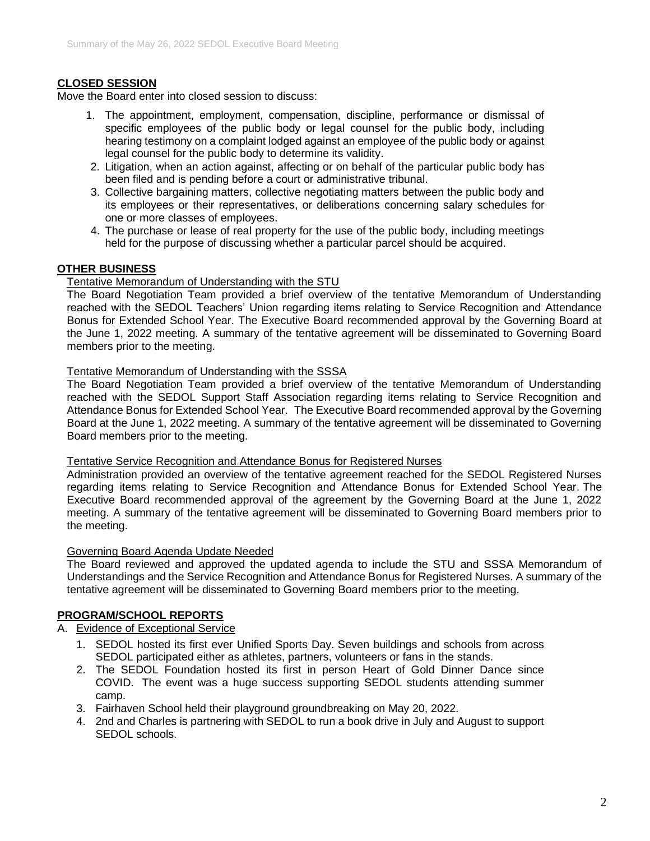# **CLOSED SESSION**

Move the Board enter into closed session to discuss:

- 1. The appointment, employment, compensation, discipline, performance or dismissal of specific employees of the public body or legal counsel for the public body, including hearing testimony on a complaint lodged against an employee of the public body or against legal counsel for the public body to determine its validity.
- 2. Litigation, when an action against, affecting or on behalf of the particular public body has been filed and is pending before a court or administrative tribunal.
- 3. Collective bargaining matters, collective negotiating matters between the public body and its employees or their representatives, or deliberations concerning salary schedules for one or more classes of employees.
- 4. The purchase or lease of real property for the use of the public body, including meetings held for the purpose of discussing whether a particular parcel should be acquired.

## **OTHER BUSINESS**

### Tentative Memorandum of Understanding with the STU

The Board Negotiation Team provided a brief overview of the tentative Memorandum of Understanding reached with the SEDOL Teachers' Union regarding items relating to Service Recognition and Attendance Bonus for Extended School Year. The Executive Board recommended approval by the Governing Board at the June 1, 2022 meeting. A summary of the tentative agreement will be disseminated to Governing Board members prior to the meeting.

### Tentative Memorandum of Understanding with the SSSA

The Board Negotiation Team provided a brief overview of the tentative Memorandum of Understanding reached with the SEDOL Support Staff Association regarding items relating to Service Recognition and Attendance Bonus for Extended School Year. The Executive Board recommended approval by the Governing Board at the June 1, 2022 meeting. A summary of the tentative agreement will be disseminated to Governing Board members prior to the meeting.

### Tentative Service Recognition and Attendance Bonus for Registered Nurses

Administration provided an overview of the tentative agreement reached for the SEDOL Registered Nurses regarding items relating to Service Recognition and Attendance Bonus for Extended School Year. The Executive Board recommended approval of the agreement by the Governing Board at the June 1, 2022 meeting. A summary of the tentative agreement will be disseminated to Governing Board members prior to the meeting.

#### Governing Board Agenda Update Needed

The Board reviewed and approved the updated agenda to include the STU and SSSA Memorandum of Understandings and the Service Recognition and Attendance Bonus for Registered Nurses. A summary of the tentative agreement will be disseminated to Governing Board members prior to the meeting.

## **PROGRAM/SCHOOL REPORTS**

### A. Evidence of Exceptional Service

- 1. SEDOL hosted its first ever Unified Sports Day. Seven buildings and schools from across SEDOL participated either as athletes, partners, volunteers or fans in the stands.
- 2. The SEDOL Foundation hosted its first in person Heart of Gold Dinner Dance since COVID. The event was a huge success supporting SEDOL students attending summer camp.
- 3. Fairhaven School held their playground groundbreaking on May 20, 2022.
- 4. 2nd and Charles is partnering with SEDOL to run a book drive in July and August to support SEDOL schools.